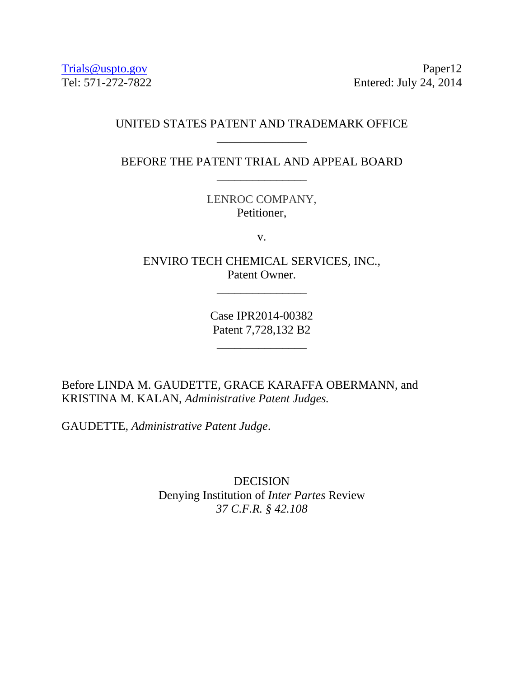Trials@uspto.gov Paper12 Tel: 571-272-7822 Entered: July 24, 2014

# UNITED STATES PATENT AND TRADEMARK OFFICE \_\_\_\_\_\_\_\_\_\_\_\_\_\_\_

BEFORE THE PATENT TRIAL AND APPEAL BOARD \_\_\_\_\_\_\_\_\_\_\_\_\_\_\_

> LENROC COMPANY, Petitioner,

> > v.

ENVIRO TECH CHEMICAL SERVICES, INC., Patent Owner.

\_\_\_\_\_\_\_\_\_\_\_\_\_\_\_

Case IPR2014-00382 Patent 7,728,132 B2

\_\_\_\_\_\_\_\_\_\_\_\_\_\_\_

Before LINDA M. GAUDETTE, GRACE KARAFFA OBERMANN, and KRISTINA M. KALAN, *Administrative Patent Judges.* 

GAUDETTE, *Administrative Patent Judge*.

DECISION Denying Institution of *Inter Partes* Review *37 C.F.R. § 42.108*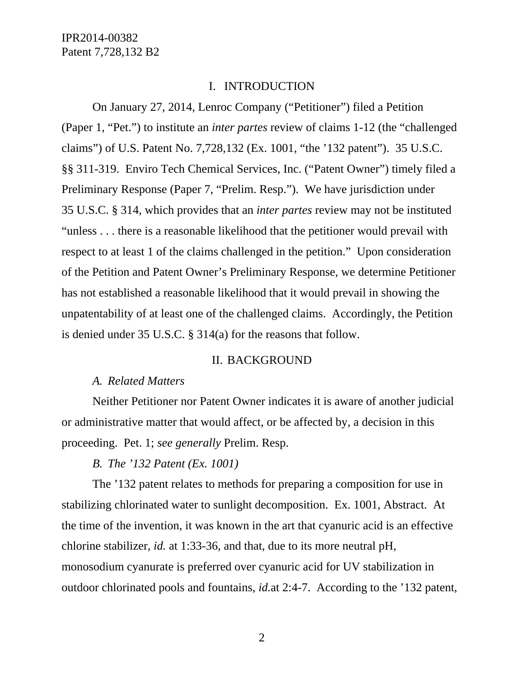### I. INTRODUCTION

On January 27, 2014, Lenroc Company ("Petitioner") filed a Petition (Paper 1, "Pet.") to institute an *inter partes* review of claims 1-12 (the "challenged claims") of U.S. Patent No. 7,728,132 (Ex. 1001, "the '132 patent"). 35 U.S.C. §§ 311-319. Enviro Tech Chemical Services, Inc. ("Patent Owner") timely filed a Preliminary Response (Paper 7, "Prelim. Resp."). We have jurisdiction under 35 U.S.C. § 314, which provides that an *inter partes* review may not be instituted "unless . . . there is a reasonable likelihood that the petitioner would prevail with respect to at least 1 of the claims challenged in the petition." Upon consideration of the Petition and Patent Owner's Preliminary Response, we determine Petitioner has not established a reasonable likelihood that it would prevail in showing the unpatentability of at least one of the challenged claims. Accordingly, the Petition is denied under 35 U.S.C. § 314(a) for the reasons that follow.

### II. BACKGROUND

#### *A. Related Matters*

Neither Petitioner nor Patent Owner indicates it is aware of another judicial or administrative matter that would affect, or be affected by, a decision in this proceeding. Pet. 1; *see generally* Prelim. Resp.

#### *B. The '132 Patent (Ex. 1001)*

The '132 patent relates to methods for preparing a composition for use in stabilizing chlorinated water to sunlight decomposition. Ex. 1001, Abstract. At the time of the invention, it was known in the art that cyanuric acid is an effective chlorine stabilizer, *id.* at 1:33-36, and that, due to its more neutral pH, monosodium cyanurate is preferred over cyanuric acid for UV stabilization in outdoor chlorinated pools and fountains, *id.*at 2:4-7. According to the '132 patent,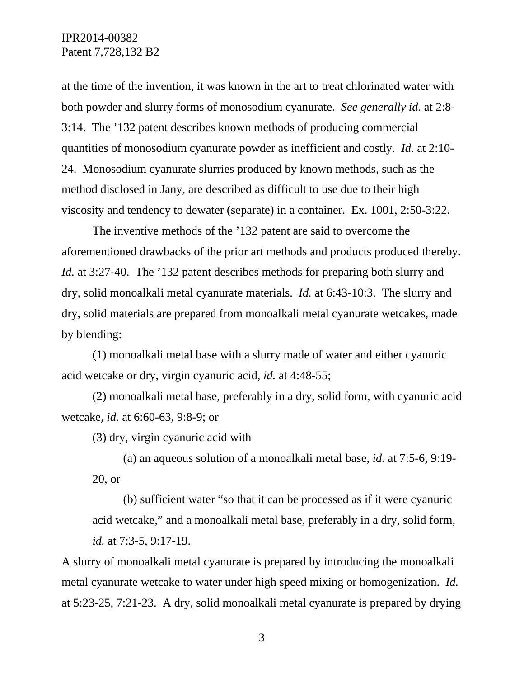at the time of the invention, it was known in the art to treat chlorinated water with both powder and slurry forms of monosodium cyanurate. *See generally id.* at 2:8- 3:14. The '132 patent describes known methods of producing commercial quantities of monosodium cyanurate powder as inefficient and costly. *Id.* at 2:10- 24. Monosodium cyanurate slurries produced by known methods, such as the method disclosed in Jany, are described as difficult to use due to their high viscosity and tendency to dewater (separate) in a container. Ex. 1001, 2:50-3:22.

The inventive methods of the '132 patent are said to overcome the aforementioned drawbacks of the prior art methods and products produced thereby. *Id.* at 3:27-40. The '132 patent describes methods for preparing both slurry and dry, solid monoalkali metal cyanurate materials. *Id.* at 6:43-10:3. The slurry and dry, solid materials are prepared from monoalkali metal cyanurate wetcakes, made by blending:

(1) monoalkali metal base with a slurry made of water and either cyanuric acid wetcake or dry, virgin cyanuric acid, *id.* at 4:48-55;

(2) monoalkali metal base, preferably in a dry, solid form, with cyanuric acid wetcake, *id.* at 6:60-63, 9:8-9; or

(3) dry, virgin cyanuric acid with

(a) an aqueous solution of a monoalkali metal base, *id.* at 7:5-6, 9:19- 20, or

(b) sufficient water "so that it can be processed as if it were cyanuric acid wetcake," and a monoalkali metal base, preferably in a dry, solid form, *id.* at 7:3-5, 9:17-19.

A slurry of monoalkali metal cyanurate is prepared by introducing the monoalkali metal cyanurate wetcake to water under high speed mixing or homogenization. *Id.* at 5:23-25, 7:21-23. A dry, solid monoalkali metal cyanurate is prepared by drying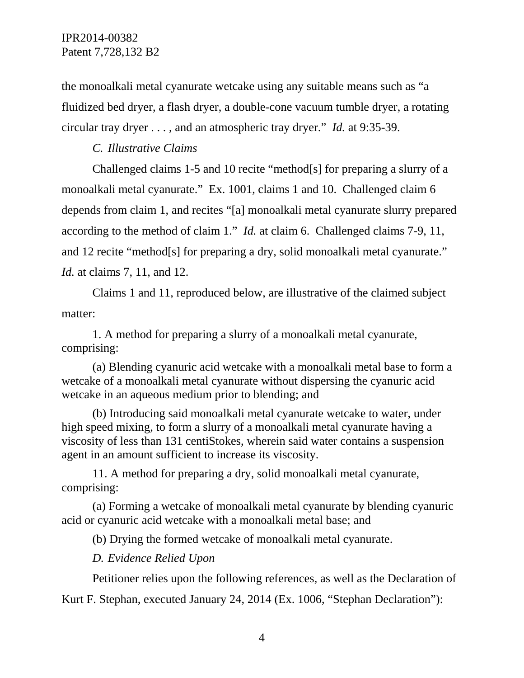the monoalkali metal cyanurate wetcake using any suitable means such as "a fluidized bed dryer, a flash dryer, a double-cone vacuum tumble dryer, a rotating circular tray dryer . . . , and an atmospheric tray dryer." *Id.* at 9:35-39.

*C. Illustrative Claims* 

Challenged claims 1-5 and 10 recite "method[s] for preparing a slurry of a monoalkali metal cyanurate." Ex. 1001, claims 1 and 10. Challenged claim 6 depends from claim 1, and recites "[a] monoalkali metal cyanurate slurry prepared according to the method of claim 1." *Id.* at claim 6. Challenged claims 7-9, 11, and 12 recite "method[s] for preparing a dry, solid monoalkali metal cyanurate." *Id.* at claims 7, 11, and 12.

Claims 1 and 11, reproduced below, are illustrative of the claimed subject matter:

1. A method for preparing a slurry of a monoalkali metal cyanurate, comprising:

(a) Blending cyanuric acid wetcake with a monoalkali metal base to form a wetcake of a monoalkali metal cyanurate without dispersing the cyanuric acid wetcake in an aqueous medium prior to blending; and

(b) Introducing said monoalkali metal cyanurate wetcake to water, under high speed mixing, to form a slurry of a monoalkali metal cyanurate having a viscosity of less than 131 centiStokes, wherein said water contains a suspension agent in an amount sufficient to increase its viscosity.

11. A method for preparing a dry, solid monoalkali metal cyanurate, comprising:

(a) Forming a wetcake of monoalkali metal cyanurate by blending cyanuric acid or cyanuric acid wetcake with a monoalkali metal base; and

(b) Drying the formed wetcake of monoalkali metal cyanurate.

*D. Evidence Relied Upon* 

Petitioner relies upon the following references, as well as the Declaration of

Kurt F. Stephan, executed January 24, 2014 (Ex. 1006, "Stephan Declaration"):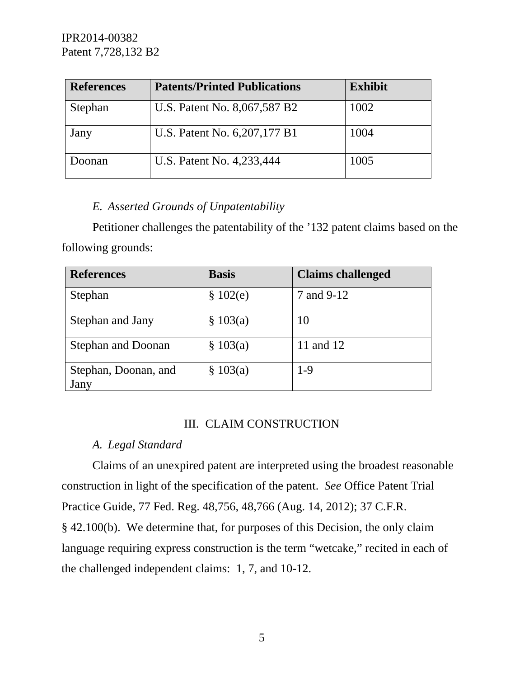| <b>References</b> | <b>Patents/Printed Publications</b> | <b>Exhibit</b> |
|-------------------|-------------------------------------|----------------|
| Stephan           | U.S. Patent No. 8,067,587 B2        | 1002           |
| Jany              | U.S. Patent No. 6, 207, 177 B1      | 1004           |
| Joonan            | U.S. Patent No. 4,233,444           | 1005           |

# *E. Asserted Grounds of Unpatentability*

Petitioner challenges the patentability of the '132 patent claims based on the following grounds:

| <b>References</b>            | <b>Basis</b> | <b>Claims challenged</b> |
|------------------------------|--------------|--------------------------|
| Stephan                      | \$102(e)     | 7 and 9-12               |
| Stephan and Jany             | \$103(a)     | 10                       |
| <b>Stephan and Doonan</b>    | \$103(a)     | 11 and 12                |
| Stephan, Doonan, and<br>Jany | \$103(a)     | $1-9$                    |

## III. CLAIM CONSTRUCTION

## *A. Legal Standard*

Claims of an unexpired patent are interpreted using the broadest reasonable construction in light of the specification of the patent. *See* Office Patent Trial Practice Guide, 77 Fed. Reg. 48,756, 48,766 (Aug. 14, 2012); 37 C.F.R. § 42.100(b). We determine that, for purposes of this Decision, the only claim language requiring express construction is the term "wetcake," recited in each of the challenged independent claims: 1, 7, and 10-12.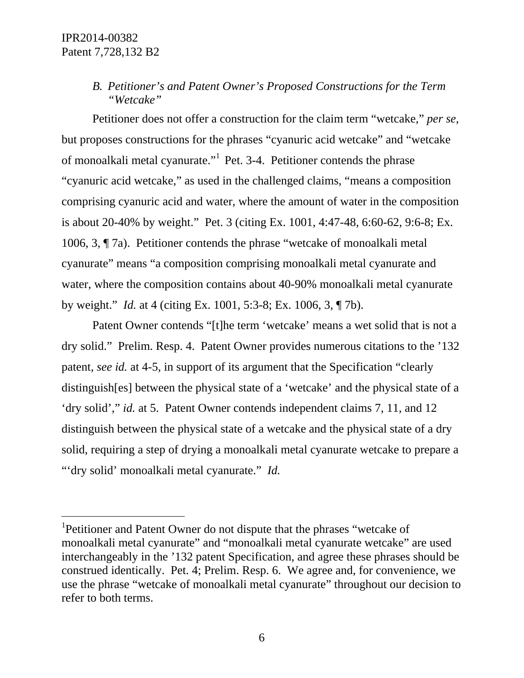-

# *B. Petitioner's and Patent Owner's Proposed Constructions for the Term "Wetcake"*

Petitioner does not offer a construction for the claim term "wetcake," *per se*, but proposes constructions for the phrases "cyanuric acid wetcake" and "wetcake of monoalkali metal cyanurate."1 Pet. 3-4. Petitioner contends the phrase "cyanuric acid wetcake," as used in the challenged claims, "means a composition comprising cyanuric acid and water, where the amount of water in the composition is about 20-40% by weight." Pet. 3 (citing Ex. 1001, 4:47-48, 6:60-62, 9:6-8; Ex. 1006, 3, ¶ 7a). Petitioner contends the phrase "wetcake of monoalkali metal cyanurate" means "a composition comprising monoalkali metal cyanurate and water, where the composition contains about 40-90% monoalkali metal cyanurate by weight." *Id.* at 4 (citing Ex. 1001, 5:3-8; Ex. 1006, 3, ¶ 7b).

Patent Owner contends "[t]he term 'wetcake' means a wet solid that is not a dry solid." Prelim. Resp. 4. Patent Owner provides numerous citations to the '132 patent, *see id.* at 4-5, in support of its argument that the Specification "clearly distinguish[es] between the physical state of a 'wetcake' and the physical state of a 'dry solid'," *id.* at 5. Patent Owner contends independent claims 7, 11, and 12 distinguish between the physical state of a wetcake and the physical state of a dry solid, requiring a step of drying a monoalkali metal cyanurate wetcake to prepare a "'dry solid' monoalkali metal cyanurate." *Id.* 

<sup>&</sup>lt;sup>1</sup>Petitioner and Patent Owner do not dispute that the phrases "wetcake of monoalkali metal cyanurate" and "monoalkali metal cyanurate wetcake" are used interchangeably in the '132 patent Specification, and agree these phrases should be construed identically. Pet. 4; Prelim. Resp. 6. We agree and, for convenience, we use the phrase "wetcake of monoalkali metal cyanurate" throughout our decision to refer to both terms.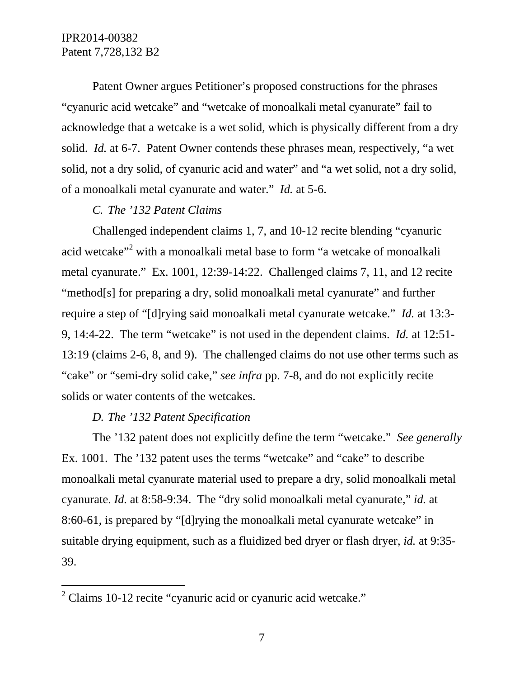Patent Owner argues Petitioner's proposed constructions for the phrases "cyanuric acid wetcake" and "wetcake of monoalkali metal cyanurate" fail to acknowledge that a wetcake is a wet solid, which is physically different from a dry solid. *Id.* at 6-7. Patent Owner contends these phrases mean, respectively, "a wet solid, not a dry solid, of cyanuric acid and water" and "a wet solid, not a dry solid, of a monoalkali metal cyanurate and water." *Id.* at 5-6.

## *C. The '132 Patent Claims*

Challenged independent claims 1, 7, and 10-12 recite blending "cyanuric acid wetcake"<sup>2</sup> with a monoalkali metal base to form "a wetcake of monoalkali metal cyanurate." Ex. 1001, 12:39-14:22. Challenged claims 7, 11, and 12 recite "method[s] for preparing a dry, solid monoalkali metal cyanurate" and further require a step of "[d]rying said monoalkali metal cyanurate wetcake." *Id.* at 13:3- 9, 14:4-22. The term "wetcake" is not used in the dependent claims. *Id.* at 12:51- 13:19 (claims 2-6, 8, and 9). The challenged claims do not use other terms such as "cake" or "semi-dry solid cake," *see infra* pp. 7-8, and do not explicitly recite solids or water contents of the wetcakes.

## *D. The '132 Patent Specification*

-

The '132 patent does not explicitly define the term "wetcake." *See generally* Ex. 1001. The '132 patent uses the terms "wetcake" and "cake" to describe monoalkali metal cyanurate material used to prepare a dry, solid monoalkali metal cyanurate. *Id.* at 8:58-9:34. The "dry solid monoalkali metal cyanurate," *id.* at 8:60-61, is prepared by "[d]rying the monoalkali metal cyanurate wetcake" in suitable drying equipment, such as a fluidized bed dryer or flash dryer, *id.* at 9:35- 39.

 $2$  Claims 10-12 recite "cyanuric acid or cyanuric acid wetcake."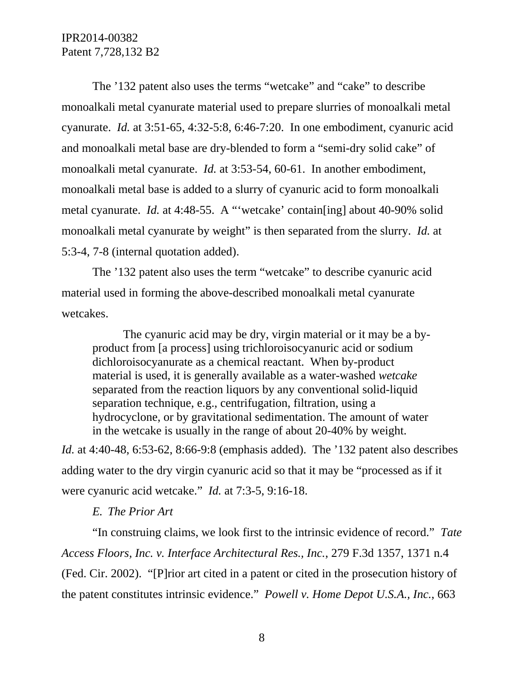The '132 patent also uses the terms "wetcake" and "cake" to describe monoalkali metal cyanurate material used to prepare slurries of monoalkali metal cyanurate. *Id.* at 3:51-65, 4:32-5:8, 6:46-7:20. In one embodiment, cyanuric acid and monoalkali metal base are dry-blended to form a "semi-dry solid cake" of monoalkali metal cyanurate. *Id.* at 3:53-54, 60-61. In another embodiment, monoalkali metal base is added to a slurry of cyanuric acid to form monoalkali metal cyanurate. *Id.* at 4:48-55. A "'wetcake' contain[ing] about 40-90% solid monoalkali metal cyanurate by weight" is then separated from the slurry. *Id.* at 5:3-4, 7-8 (internal quotation added).

The '132 patent also uses the term "wetcake" to describe cyanuric acid material used in forming the above-described monoalkali metal cyanurate wetcakes.

The cyanuric acid may be dry, virgin material or it may be a byproduct from [a process] using trichloroisocyanuric acid or sodium dichloroisocyanurate as a chemical reactant. When by-product material is used, it is generally available as a water-washed *wetcake* separated from the reaction liquors by any conventional solid-liquid separation technique, e.g., centrifugation, filtration, using a hydrocyclone, or by gravitational sedimentation. The amount of water in the wetcake is usually in the range of about 20-40% by weight.

*Id.* at 4:40-48, 6:53-62, 8:66-9:8 (emphasis added). The '132 patent also describes adding water to the dry virgin cyanuric acid so that it may be "processed as if it were cyanuric acid wetcake." *Id.* at 7:3-5, 9:16-18.

#### *E. The Prior Art*

"In construing claims, we look first to the intrinsic evidence of record." *Tate Access Floors, Inc. v. Interface Architectural Res., Inc.*, 279 F.3d 1357, 1371 n.4 (Fed. Cir. 2002). "[P]rior art cited in a patent or cited in the prosecution history of the patent constitutes intrinsic evidence." *Powell v. Home Depot U.S.A., Inc.*, 663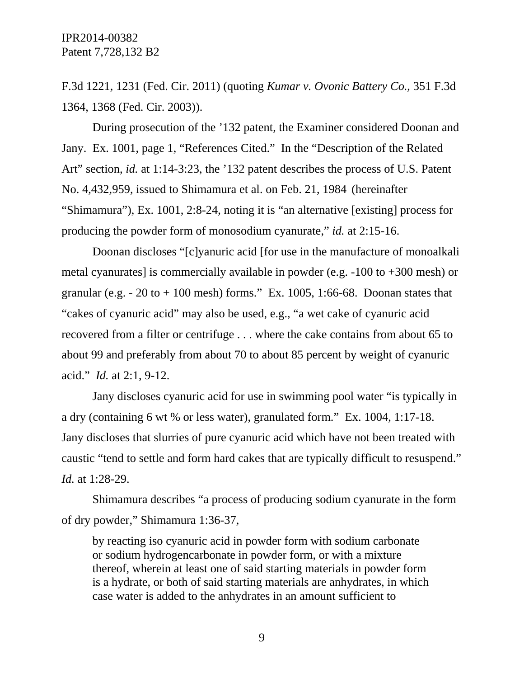F.3d 1221, 1231 (Fed. Cir. 2011) (quoting *Kumar v. Ovonic Battery Co.*, 351 F.3d 1364, 1368 (Fed. Cir. 2003)).

During prosecution of the '132 patent, the Examiner considered Doonan and Jany. Ex. 1001, page 1, "References Cited." In the "Description of the Related Art" section, *id.* at 1:14-3:23, the '132 patent describes the process of U.S. Patent No. 4,432,959, issued to Shimamura et al. on Feb. 21, 1984 (hereinafter "Shimamura"), Ex. 1001, 2:8-24, noting it is "an alternative [existing] process for producing the powder form of monosodium cyanurate," *id.* at 2:15-16.

Doonan discloses "[c]yanuric acid [for use in the manufacture of monoalkali metal cyanurates] is commercially available in powder (e.g. -100 to +300 mesh) or granular (e.g.  $-20$  to  $+100$  mesh) forms." Ex. 1005, 1:66-68. Doonan states that "cakes of cyanuric acid" may also be used, e.g., "a wet cake of cyanuric acid recovered from a filter or centrifuge . . . where the cake contains from about 65 to about 99 and preferably from about 70 to about 85 percent by weight of cyanuric acid." *Id.* at 2:1, 9-12.

Jany discloses cyanuric acid for use in swimming pool water "is typically in a dry (containing 6 wt % or less water), granulated form." Ex. 1004, 1:17-18. Jany discloses that slurries of pure cyanuric acid which have not been treated with caustic "tend to settle and form hard cakes that are typically difficult to resuspend." *Id.* at 1:28-29.

Shimamura describes "a process of producing sodium cyanurate in the form of dry powder," Shimamura 1:36-37,

by reacting iso cyanuric acid in powder form with sodium carbonate or sodium hydrogencarbonate in powder form, or with a mixture thereof, wherein at least one of said starting materials in powder form is a hydrate, or both of said starting materials are anhydrates, in which case water is added to the anhydrates in an amount sufficient to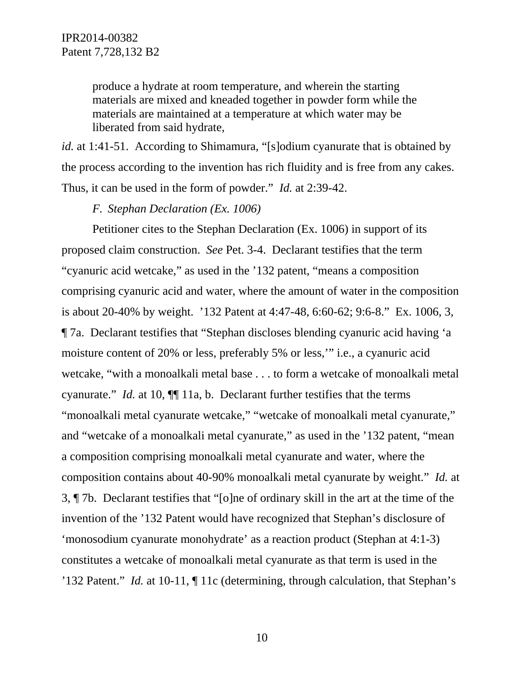produce a hydrate at room temperature, and wherein the starting materials are mixed and kneaded together in powder form while the materials are maintained at a temperature at which water may be liberated from said hydrate,

*id.* at 1:41-51. According to Shimamura, "[s]odium cyanurate that is obtained by the process according to the invention has rich fluidity and is free from any cakes. Thus, it can be used in the form of powder." *Id.* at 2:39-42.

*F. Stephan Declaration (Ex. 1006)* 

Petitioner cites to the Stephan Declaration (Ex. 1006) in support of its proposed claim construction. *See* Pet. 3-4. Declarant testifies that the term "cyanuric acid wetcake," as used in the '132 patent, "means a composition comprising cyanuric acid and water, where the amount of water in the composition is about 20-40% by weight. '132 Patent at 4:47-48, 6:60-62; 9:6-8." Ex. 1006, 3, ¶ 7a. Declarant testifies that "Stephan discloses blending cyanuric acid having 'a moisture content of 20% or less, preferably 5% or less,'" i.e., a cyanuric acid wetcake, "with a monoalkali metal base . . . to form a wetcake of monoalkali metal cyanurate." *Id.* at 10,  $\P$  11a, b. Declarant further testifies that the terms "monoalkali metal cyanurate wetcake," "wetcake of monoalkali metal cyanurate," and "wetcake of a monoalkali metal cyanurate," as used in the '132 patent, "mean a composition comprising monoalkali metal cyanurate and water, where the composition contains about 40-90% monoalkali metal cyanurate by weight." *Id.* at 3, ¶ 7b. Declarant testifies that "[o]ne of ordinary skill in the art at the time of the invention of the '132 Patent would have recognized that Stephan's disclosure of 'monosodium cyanurate monohydrate' as a reaction product (Stephan at 4:1-3) constitutes a wetcake of monoalkali metal cyanurate as that term is used in the '132 Patent." *Id.* at 10-11, ¶ 11c (determining, through calculation, that Stephan's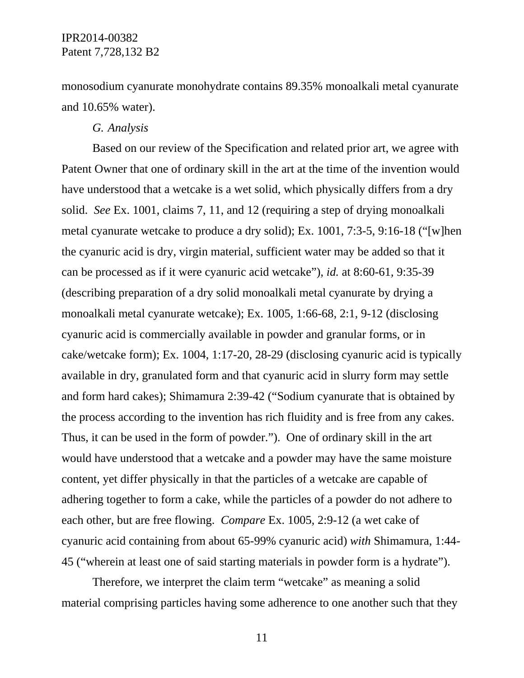monosodium cyanurate monohydrate contains 89.35% monoalkali metal cyanurate and 10.65% water).

## *G. Analysis*

 Based on our review of the Specification and related prior art, we agree with Patent Owner that one of ordinary skill in the art at the time of the invention would have understood that a wetcake is a wet solid, which physically differs from a dry solid. *See* Ex. 1001, claims 7, 11, and 12 (requiring a step of drying monoalkali metal cyanurate wetcake to produce a dry solid); Ex. 1001, 7:3-5, 9:16-18 ("[w]hen the cyanuric acid is dry, virgin material, sufficient water may be added so that it can be processed as if it were cyanuric acid wetcake"), *id.* at 8:60-61, 9:35-39 (describing preparation of a dry solid monoalkali metal cyanurate by drying a monoalkali metal cyanurate wetcake); Ex. 1005, 1:66-68, 2:1, 9-12 (disclosing cyanuric acid is commercially available in powder and granular forms, or in cake/wetcake form); Ex. 1004, 1:17-20, 28-29 (disclosing cyanuric acid is typically available in dry, granulated form and that cyanuric acid in slurry form may settle and form hard cakes); Shimamura 2:39-42 ("Sodium cyanurate that is obtained by the process according to the invention has rich fluidity and is free from any cakes. Thus, it can be used in the form of powder."). One of ordinary skill in the art would have understood that a wetcake and a powder may have the same moisture content, yet differ physically in that the particles of a wetcake are capable of adhering together to form a cake, while the particles of a powder do not adhere to each other, but are free flowing. *Compare* Ex. 1005, 2:9-12 (a wet cake of cyanuric acid containing from about 65-99% cyanuric acid) *with* Shimamura, 1:44- 45 ("wherein at least one of said starting materials in powder form is a hydrate").

Therefore, we interpret the claim term "wetcake" as meaning a solid material comprising particles having some adherence to one another such that they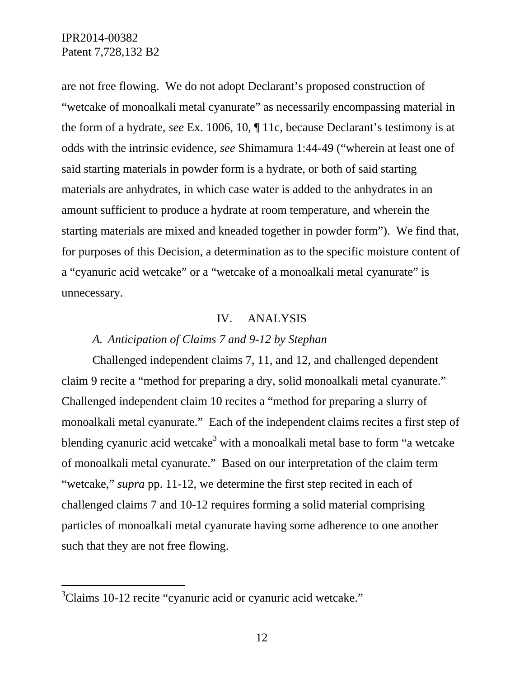are not free flowing. We do not adopt Declarant's proposed construction of "wetcake of monoalkali metal cyanurate" as necessarily encompassing material in the form of a hydrate, *see* Ex. 1006, 10, ¶ 11c, because Declarant's testimony is at odds with the intrinsic evidence, *see* Shimamura 1:44-49 ("wherein at least one of said starting materials in powder form is a hydrate, or both of said starting materials are anhydrates, in which case water is added to the anhydrates in an amount sufficient to produce a hydrate at room temperature, and wherein the starting materials are mixed and kneaded together in powder form"). We find that, for purposes of this Decision, a determination as to the specific moisture content of a "cyanuric acid wetcake" or a "wetcake of a monoalkali metal cyanurate" is unnecessary.

### IV. ANALYSIS

## *A. Anticipation of Claims 7 and 9-12 by Stephan*

Challenged independent claims 7, 11, and 12, and challenged dependent claim 9 recite a "method for preparing a dry, solid monoalkali metal cyanurate." Challenged independent claim 10 recites a "method for preparing a slurry of monoalkali metal cyanurate." Each of the independent claims recites a first step of blending cyanuric acid wetcake<sup>3</sup> with a monoalkali metal base to form "a wetcake of monoalkali metal cyanurate." Based on our interpretation of the claim term "wetcake," *supra* pp. 11-12, we determine the first step recited in each of challenged claims 7 and 10-12 requires forming a solid material comprising particles of monoalkali metal cyanurate having some adherence to one another such that they are not free flowing.

-

<sup>&</sup>lt;sup>3</sup>Claims 10-12 recite "cyanuric acid or cyanuric acid wetcake."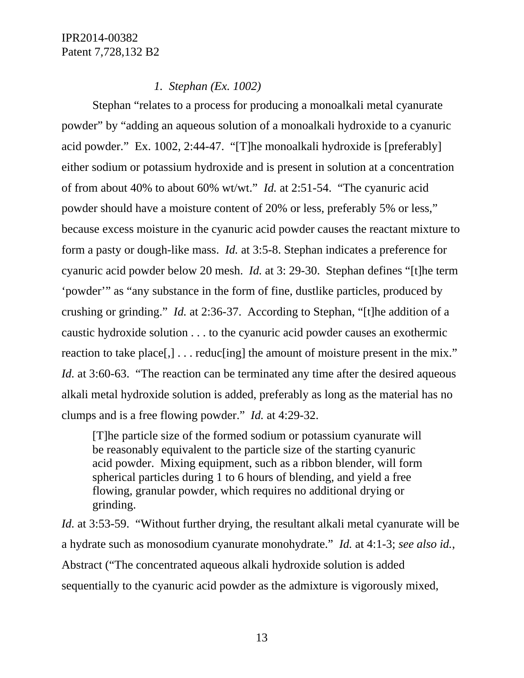## *1. Stephan (Ex. 1002)*

Stephan "relates to a process for producing a monoalkali metal cyanurate powder" by "adding an aqueous solution of a monoalkali hydroxide to a cyanuric acid powder." Ex. 1002, 2:44-47. "[T]he monoalkali hydroxide is [preferably] either sodium or potassium hydroxide and is present in solution at a concentration of from about 40% to about 60% wt/wt." *Id.* at 2:51-54. "The cyanuric acid powder should have a moisture content of 20% or less, preferably 5% or less," because excess moisture in the cyanuric acid powder causes the reactant mixture to form a pasty or dough-like mass. *Id.* at 3:5-8. Stephan indicates a preference for cyanuric acid powder below 20 mesh. *Id.* at 3: 29-30. Stephan defines "[t]he term 'powder'" as "any substance in the form of fine, dustlike particles, produced by crushing or grinding." *Id.* at 2:36-37. According to Stephan, "[t]he addition of a caustic hydroxide solution . . . to the cyanuric acid powder causes an exothermic reaction to take place[,]... reduc[ing] the amount of moisture present in the mix." *Id.* at 3:60-63. "The reaction can be terminated any time after the desired aqueous alkali metal hydroxide solution is added, preferably as long as the material has no clumps and is a free flowing powder." *Id.* at 4:29-32.

[T]he particle size of the formed sodium or potassium cyanurate will be reasonably equivalent to the particle size of the starting cyanuric acid powder. Mixing equipment, such as a ribbon blender, will form spherical particles during 1 to 6 hours of blending, and yield a free flowing, granular powder, which requires no additional drying or grinding.

*Id.* at 3:53-59. "Without further drying, the resultant alkali metal cyanurate will be a hydrate such as monosodium cyanurate monohydrate." *Id.* at 4:1-3; *see also id.*, Abstract ("The concentrated aqueous alkali hydroxide solution is added sequentially to the cyanuric acid powder as the admixture is vigorously mixed,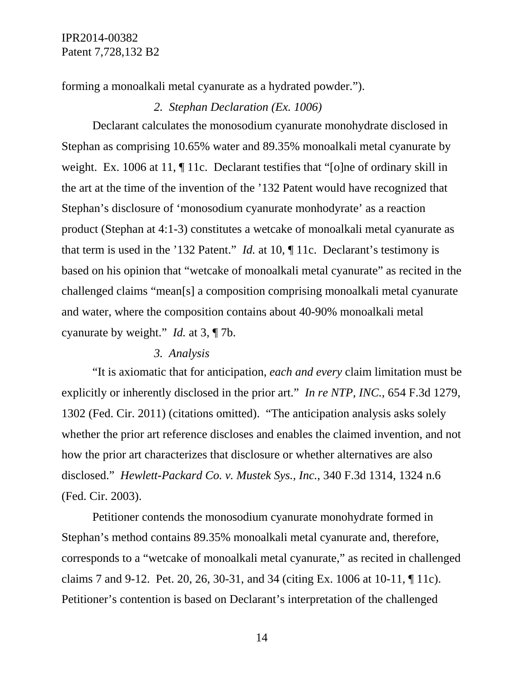forming a monoalkali metal cyanurate as a hydrated powder.").

## *2. Stephan Declaration (Ex. 1006)*

Declarant calculates the monosodium cyanurate monohydrate disclosed in Stephan as comprising 10.65% water and 89.35% monoalkali metal cyanurate by weight. Ex. 1006 at 11,  $\P$  11c. Declarant testifies that "[o]ne of ordinary skill in the art at the time of the invention of the '132 Patent would have recognized that Stephan's disclosure of 'monosodium cyanurate monhodyrate' as a reaction product (Stephan at 4:1-3) constitutes a wetcake of monoalkali metal cyanurate as that term is used in the '132 Patent." *Id.* at 10, ¶ 11c. Declarant's testimony is based on his opinion that "wetcake of monoalkali metal cyanurate" as recited in the challenged claims "mean[s] a composition comprising monoalkali metal cyanurate and water, where the composition contains about 40-90% monoalkali metal cyanurate by weight." *Id.* at 3, ¶ 7b.

### *3. Analysis*

"It is axiomatic that for anticipation, *each and every* claim limitation must be explicitly or inherently disclosed in the prior art." *In re NTP, INC.*, 654 F.3d 1279, 1302 (Fed. Cir. 2011) (citations omitted). "The anticipation analysis asks solely whether the prior art reference discloses and enables the claimed invention, and not how the prior art characterizes that disclosure or whether alternatives are also disclosed." *Hewlett-Packard Co. v. Mustek Sys., Inc.*, 340 F.3d 1314, 1324 n.6 (Fed. Cir. 2003).

Petitioner contends the monosodium cyanurate monohydrate formed in Stephan's method contains 89.35% monoalkali metal cyanurate and, therefore, corresponds to a "wetcake of monoalkali metal cyanurate," as recited in challenged claims 7 and 9-12. Pet. 20, 26, 30-31, and 34 (citing Ex. 1006 at 10-11, ¶ 11c). Petitioner's contention is based on Declarant's interpretation of the challenged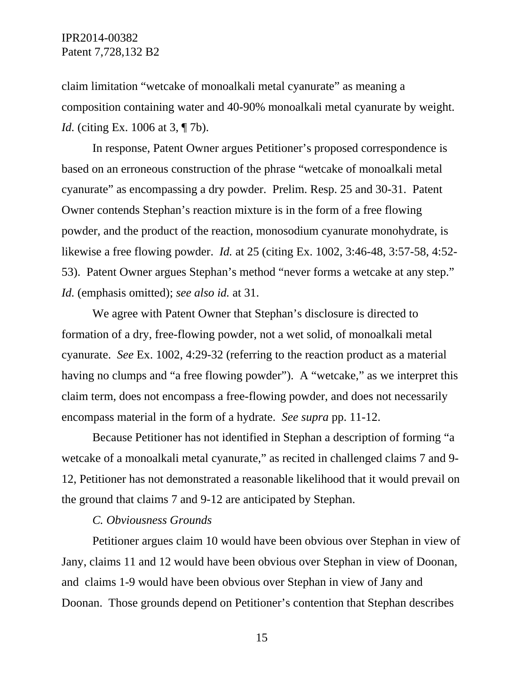claim limitation "wetcake of monoalkali metal cyanurate" as meaning a composition containing water and 40-90% monoalkali metal cyanurate by weight. *Id.* (citing Ex. 1006 at 3, ¶ 7b).

In response, Patent Owner argues Petitioner's proposed correspondence is based on an erroneous construction of the phrase "wetcake of monoalkali metal cyanurate" as encompassing a dry powder. Prelim. Resp. 25 and 30-31. Patent Owner contends Stephan's reaction mixture is in the form of a free flowing powder, and the product of the reaction, monosodium cyanurate monohydrate, is likewise a free flowing powder. *Id.* at 25 (citing Ex. 1002, 3:46-48, 3:57-58, 4:52- 53). Patent Owner argues Stephan's method "never forms a wetcake at any step." *Id.* (emphasis omitted); *see also id.* at 31.

We agree with Patent Owner that Stephan's disclosure is directed to formation of a dry, free-flowing powder, not a wet solid, of monoalkali metal cyanurate. *See* Ex. 1002, 4:29-32 (referring to the reaction product as a material having no clumps and "a free flowing powder"). A "wetcake," as we interpret this claim term, does not encompass a free-flowing powder, and does not necessarily encompass material in the form of a hydrate. *See supra* pp. 11-12.

Because Petitioner has not identified in Stephan a description of forming "a wetcake of a monoalkali metal cyanurate," as recited in challenged claims 7 and 9- 12, Petitioner has not demonstrated a reasonable likelihood that it would prevail on the ground that claims 7 and 9-12 are anticipated by Stephan.

### *C. Obviousness Grounds*

Petitioner argues claim 10 would have been obvious over Stephan in view of Jany, claims 11 and 12 would have been obvious over Stephan in view of Doonan, and claims 1-9 would have been obvious over Stephan in view of Jany and Doonan. Those grounds depend on Petitioner's contention that Stephan describes